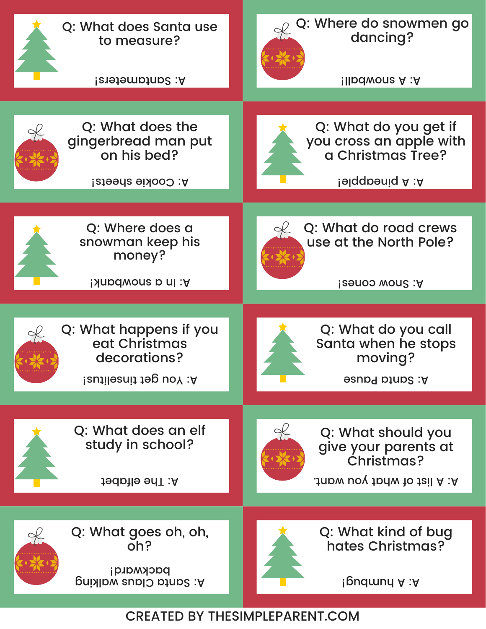

CREATED BY THESIMPLEPARENT.COM